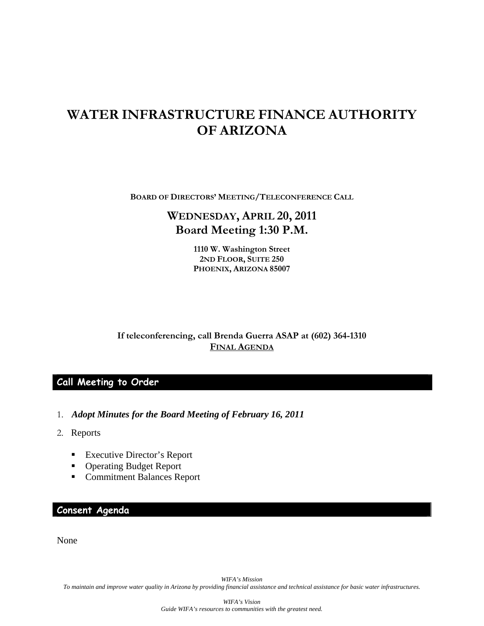# **WATER INFRASTRUCTURE FINANCE AUTHORITY OF ARIZONA**

**BOARD OF DIRECTORS' MEETING/TELECONFERENCE CALL**

# **WEDNESDAY, APRIL 20, 2011 Board Meeting 1:30 P.M.**

**1110 W. Washington Street 2ND FLOOR, SUITE 250 PHOENIX, ARIZONA 85007** 

**If teleconferencing, call Brenda Guerra ASAP at (602) 364-1310 FINAL AGENDA**

### **Call Meeting to Order**

- 1. *Adopt Minutes for the Board Meeting of February 16, 2011*
- 2. Reports
	- **Executive Director's Report**
	- Operating Budget Report
	- Commitment Balances Report

### **Consent Agenda**

None

*WIFA's Mission To maintain and improve water quality in Arizona by providing financial assistance and technical assistance for basic water infrastructures.*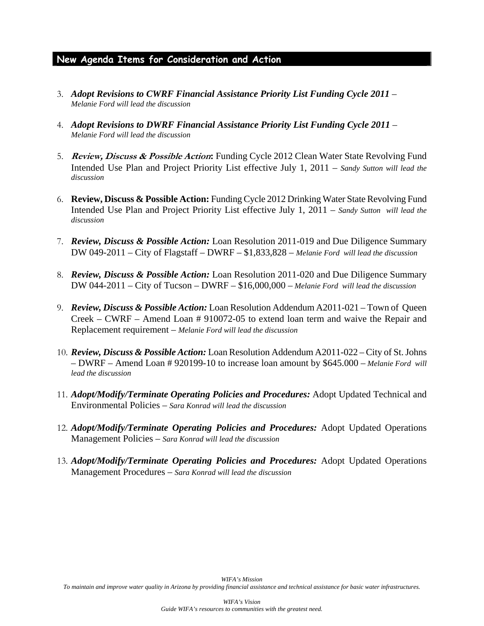## **New Agenda Items for Consideration and Action**

- 3. *Adopt Revisions to CWRF Financial Assistance Priority List Funding Cycle 2011 Melanie Ford will lead the discussion*
- 4. *Adopt Revisions to DWRF Financial Assistance Priority List Funding Cycle 2011 Melanie Ford will lead the discussion*
- 5. **Review, Discuss & Possible Action:** Funding Cycle 2012 Clean Water State Revolving Fund Intended Use Plan and Project Priority List effective July 1, 2011 – *Sandy Sutton will lead the discussion*
- 6. **Review, Discuss & Possible Action:** Funding Cycle 2012 Drinking Water State Revolving Fund Intended Use Plan and Project Priority List effective July 1, 2011 – *Sandy Sutton will lead the discussion*
- 7. *Review, Discuss & Possible Action:* Loan Resolution 2011-019 and Due Diligence Summary DW 049-2011 – City of Flagstaff – DWRF – \$1,833,828 – *Melanie Ford will lead the discussion*
- 8. *Review, Discuss & Possible Action:* Loan Resolution 2011-020 and Due Diligence Summary DW 044-2011 – City of Tucson – DWRF – \$16,000,000 – *Melanie Ford will lead the discussion*
- 9. *Review, Discuss & Possible Action:* Loan Resolution Addendum A2011-021 Town of Queen Creek – CWRF – Amend Loan # 910072-05 to extend loan term and waive the Repair and Replacement requirement – *Melanie Ford will lead the discussion*
- 10. *Review, Discuss & Possible Action:* Loan Resolution Addendum A2011-022 City of St. Johns – DWRF – Amend Loan # 920199-10 to increase loan amount by \$645.000 – *Melanie Ford will lead the discussion*
- 11. *Adopt/Modify/Terminate Operating Policies and Procedures:* Adopt Updated Technical and Environmental Policies – *Sara Konrad will lead the discussion*
- 12. *Adopt/Modify/Terminate Operating Policies and Procedures:* Adopt Updated Operations Management Policies – *Sara Konrad will lead the discussion*
- 13. *Adopt/Modify/Terminate Operating Policies and Procedures:* Adopt Updated Operations Management Procedures – *Sara Konrad will lead the discussion*